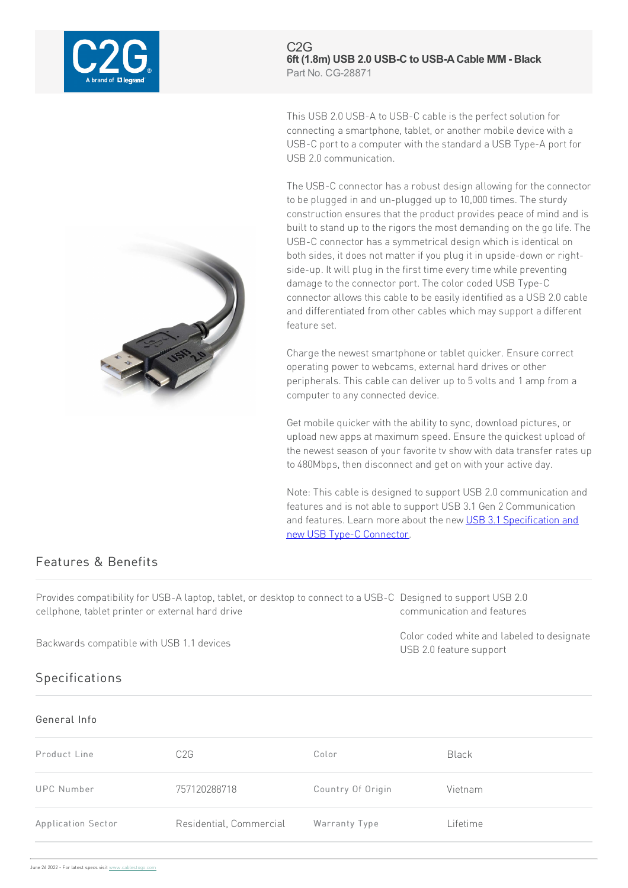

 $C2G$ 6ft (1.8m) USB 2.0 USB-C to USB-A Cable M/M - Black Part No. CG-28871

This USB 2.0 USB-A to USB-C cable is the perfect solution for connecting a smartphone, tablet, or another mobile device with a USB-C port to a computer with the standard a USB Type-A port for USB 2.0 communication

The USB-C connector has a robust design allowing for the connector to be plugged in and un-plugged up to 10,000 times. The sturdy construction ensures that the product provides peace of mind and is built to stand up to the rigors the most demanding on the go life. The USB-C connector has a symmetrical design which is identical on both sides, it does not matter if you plug it in upside-down or rightside-up. It will plug in the first time every time while preventing damage to the connector port. The color coded USB Type-C connector allows this cable to be easily identified as a USB 2.0 cable and differentiated from other cables which may support a different feature set.

Charge the newest smartphone or tablet quicker. Ensure correct operating power to webcams, external hard drives or other peripherals. This cable can deliver up to 5 volts and 1 amp from a computer to any connected device.

Get mobile quicker with the ability to sync, download pictures, or upload new apps at maximum speed. Ensure the quickest upload of the newest season of your favorite tv show with data transfer rates up to 480Mbps, then disconnect and get on with your active day.

Note: This cable is designed to support USB 2.0 communication and features and is not able to support USB 3.1 Gen 2 Communication and features. Learn more about the new USB 3.1 Specification and new USB Type-C Connector.

USB 2.0 feature support

Color coded white and labeled to designate

## Features & Benefits

Provides compatibility for USB-A laptop, tablet, or desktop to connect to a USB-C Designed to support USB 2.0 cellphone, tablet printer or external hard drive communication and features

Backwards compatible with USB 1.1 devices

## Specifications

## General Info

| Product Line       | C2G                     | Color             | <b>Black</b> |
|--------------------|-------------------------|-------------------|--------------|
| <b>UPC Number</b>  | 757120288718            | Country Of Origin | Vietnam      |
| Application Sector | Residential, Commercial | Warranty Type     | Lifetime     |